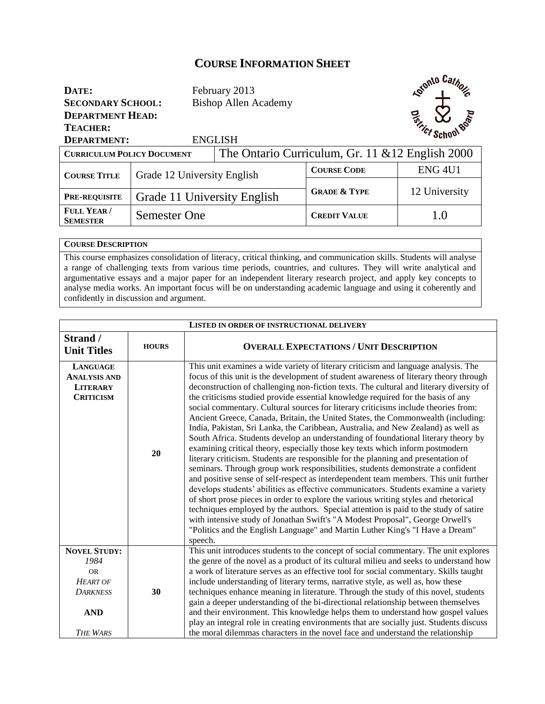## **COURSE INFORMATION SHEET**

| DATE:<br><b>SECONDARY SCHOOL:</b><br><b>DEPARTMENT HEAD:</b><br><b>TEACHER:</b><br><b>ENGLISH</b><br><b>DEPARTMENT:</b> |                             | February 2013<br><b>Bishop Allen Academy</b> |                                                  | <b>Kotonto</b> Cathon<br><b>Entries School Boom</b> |  |
|-------------------------------------------------------------------------------------------------------------------------|-----------------------------|----------------------------------------------|--------------------------------------------------|-----------------------------------------------------|--|
| <b>CURRICULUM POLICY DOCUMENT</b>                                                                                       |                             |                                              | The Ontario Curriculum, Gr. 11 & 12 English 2000 |                                                     |  |
| <b>COURSE TITLE</b>                                                                                                     | Grade 12 University English |                                              | <b>COURSE CODE</b>                               | <b>ENG 4U1</b>                                      |  |
|                                                                                                                         |                             |                                              |                                                  |                                                     |  |
| <b>PRE-REQUISITE</b>                                                                                                    | Grade 11 University English |                                              | <b>GRADE &amp; TYPE</b>                          | 12 University                                       |  |
| FULL YEAR/<br><b>SEMESTER</b>                                                                                           | Semester One                |                                              | <b>CREDIT VALUE</b>                              | 1.0                                                 |  |

## **COURSE DESCRIPTION**

This course emphasizes consolidation of literacy, critical thinking, and communication skills. Students will analyse a range of challenging texts from various time periods, countries, and cultures. They will write analytical and argumentative essays and a major paper for an independent literary research project, and apply key concepts to analyse media works. An important focus will be on understanding academic language and using it coherently and confidently in discussion and argument.

| <b>LISTED IN ORDER OF INSTRUCTIONAL DELIVERY</b>                                                                |              |                                                                                                                                                                                                                                                                                                                                                                                                                                                                                                                                                                                                                                                                                                                                                                                                                                                                                                                                                                                                                                                                                                                                                                                                                                                                                                                                                                                                                                                                                                                     |
|-----------------------------------------------------------------------------------------------------------------|--------------|---------------------------------------------------------------------------------------------------------------------------------------------------------------------------------------------------------------------------------------------------------------------------------------------------------------------------------------------------------------------------------------------------------------------------------------------------------------------------------------------------------------------------------------------------------------------------------------------------------------------------------------------------------------------------------------------------------------------------------------------------------------------------------------------------------------------------------------------------------------------------------------------------------------------------------------------------------------------------------------------------------------------------------------------------------------------------------------------------------------------------------------------------------------------------------------------------------------------------------------------------------------------------------------------------------------------------------------------------------------------------------------------------------------------------------------------------------------------------------------------------------------------|
| Strand /<br><b>Unit Titles</b>                                                                                  | <b>HOURS</b> | <b>OVERALL EXPECTATIONS / UNIT DESCRIPTION</b>                                                                                                                                                                                                                                                                                                                                                                                                                                                                                                                                                                                                                                                                                                                                                                                                                                                                                                                                                                                                                                                                                                                                                                                                                                                                                                                                                                                                                                                                      |
| <b>LANGUAGE</b><br><b>ANALYSIS AND</b><br><b>LITERARY</b><br><b>CRITICISM</b>                                   | 20           | This unit examines a wide variety of literary criticism and language analysis. The<br>focus of this unit is the development of student awareness of literary theory through<br>deconstruction of challenging non-fiction texts. The cultural and literary diversity of<br>the criticisms studied provide essential knowledge required for the basis of any<br>social commentary. Cultural sources for literary criticisms include theories from:<br>Ancient Greece, Canada, Britain, the United States, the Commonwealth (including:<br>India, Pakistan, Sri Lanka, the Caribbean, Australia, and New Zealand) as well as<br>South Africa. Students develop an understanding of foundational literary theory by<br>examining critical theory, especially those key texts which inform postmodern<br>literary criticism. Students are responsible for the planning and presentation of<br>seminars. Through group work responsibilities, students demonstrate a confident<br>and positive sense of self-respect as interdependent team members. This unit further<br>develops students' abilities as effective communicators. Students examine a variety<br>of short prose pieces in order to explore the various writing styles and rhetorical<br>techniques employed by the authors. Special attention is paid to the study of satire<br>with intensive study of Jonathan Swift's "A Modest Proposal", George Orwell's<br>"Politics and the English Language" and Martin Luther King's "I Have a Dream"<br>speech. |
| <b>NOVEL STUDY:</b><br>1984<br><b>OR</b><br><b>HEART OF</b><br><b>DARKNESS</b><br><b>AND</b><br><b>THE WARS</b> | 30           | This unit introduces students to the concept of social commentary. The unit explores<br>the genre of the novel as a product of its cultural milieu and seeks to understand how<br>a work of literature serves as an effective tool for social commentary. Skills taught<br>include understanding of literary terms, narrative style, as well as, how these<br>techniques enhance meaning in literature. Through the study of this novel, students<br>gain a deeper understanding of the bi-directional relationship between themselves<br>and their environment. This knowledge helps them to understand how gospel values<br>play an integral role in creating environments that are socially just. Students discuss<br>the moral dilemmas characters in the novel face and understand the relationship                                                                                                                                                                                                                                                                                                                                                                                                                                                                                                                                                                                                                                                                                                            |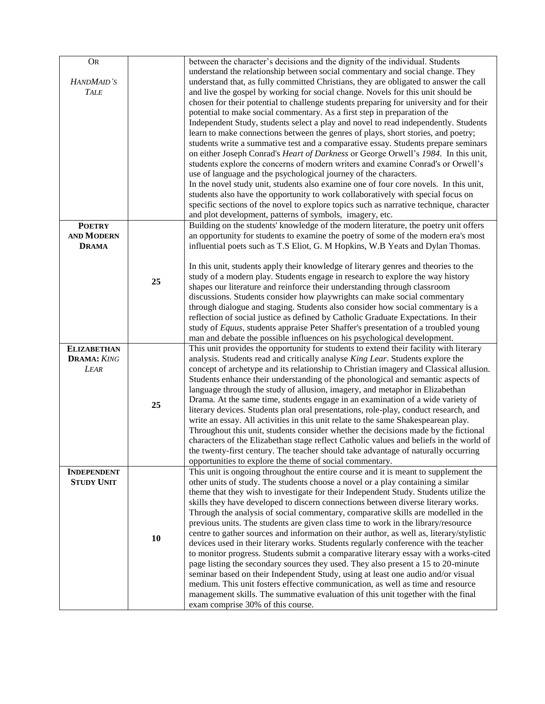| <b>OR</b>          |    | between the character's decisions and the dignity of the individual. Students            |
|--------------------|----|------------------------------------------------------------------------------------------|
|                    |    | understand the relationship between social commentary and social change. They            |
| HANDMAID'S         |    | understand that, as fully committed Christians, they are obligated to answer the call    |
|                    |    |                                                                                          |
| <b>TALE</b>        |    | and live the gospel by working for social change. Novels for this unit should be         |
|                    |    | chosen for their potential to challenge students preparing for university and for their  |
|                    |    | potential to make social commentary. As a first step in preparation of the               |
|                    |    |                                                                                          |
|                    |    | Independent Study, students select a play and novel to read independently. Students      |
|                    |    | learn to make connections between the genres of plays, short stories, and poetry;        |
|                    |    | students write a summative test and a comparative essay. Students prepare seminars       |
|                    |    | on either Joseph Conrad's Heart of Darkness or George Orwell's 1984. In this unit,       |
|                    |    |                                                                                          |
|                    |    | students explore the concerns of modern writers and examine Conrad's or Orwell's         |
|                    |    | use of language and the psychological journey of the characters.                         |
|                    |    | In the novel study unit, students also examine one of four core novels. In this unit,    |
|                    |    | students also have the opportunity to work collaboratively with special focus on         |
|                    |    | specific sections of the novel to explore topics such as narrative technique, character  |
|                    |    |                                                                                          |
|                    |    | and plot development, patterns of symbols, imagery, etc.                                 |
| <b>POETRY</b>      |    | Building on the students' knowledge of the modern literature, the poetry unit offers     |
| <b>AND MODERN</b>  |    | an opportunity for students to examine the poetry of some of the modern era's most       |
| <b>DRAMA</b>       |    | influential poets such as T.S Eliot, G. M Hopkins, W.B Yeats and Dylan Thomas.           |
|                    |    |                                                                                          |
|                    |    |                                                                                          |
|                    |    | In this unit, students apply their knowledge of literary genres and theories to the      |
|                    | 25 | study of a modern play. Students engage in research to explore the way history           |
|                    |    | shapes our literature and reinforce their understanding through classroom                |
|                    |    | discussions. Students consider how playwrights can make social commentary                |
|                    |    | through dialogue and staging. Students also consider how social commentary is a          |
|                    |    | reflection of social justice as defined by Catholic Graduate Expectations. In their      |
|                    |    |                                                                                          |
|                    |    | study of Equus, students appraise Peter Shaffer's presentation of a troubled young       |
|                    |    | man and debate the possible influences on his psychological development.                 |
| <b>ELIZABETHAN</b> |    | This unit provides the opportunity for students to extend their facility with literary   |
| <b>DRAMA: KING</b> |    | analysis. Students read and critically analyse King Lear. Students explore the           |
| <b>LEAR</b>        |    | concept of archetype and its relationship to Christian imagery and Classical allusion.   |
|                    |    | Students enhance their understanding of the phonological and semantic aspects of         |
|                    |    |                                                                                          |
|                    |    | language through the study of allusion, imagery, and metaphor in Elizabethan             |
|                    | 25 | Drama. At the same time, students engage in an examination of a wide variety of          |
|                    |    | literary devices. Students plan oral presentations, role-play, conduct research, and     |
|                    |    | write an essay. All activities in this unit relate to the same Shakespearean play.       |
|                    |    | Throughout this unit, students consider whether the decisions made by the fictional      |
|                    |    |                                                                                          |
|                    |    | characters of the Elizabethan stage reflect Catholic values and beliefs in the world of  |
|                    |    | the twenty-first century. The teacher should take advantage of naturally occurring       |
|                    |    | opportunities to explore the theme of social commentary.                                 |
| <b>INDEPENDENT</b> |    | This unit is ongoing throughout the entire course and it is meant to supplement the      |
| <b>STUDY UNIT</b>  |    | other units of study. The students choose a novel or a play containing a similar         |
|                    |    | theme that they wish to investigate for their Independent Study. Students utilize the    |
|                    |    |                                                                                          |
|                    |    | skills they have developed to discern connections between diverse literary works.        |
|                    |    | Through the analysis of social commentary, comparative skills are modelled in the        |
|                    |    | previous units. The students are given class time to work in the library/resource        |
|                    |    | centre to gather sources and information on their author, as well as, literary/stylistic |
|                    | 10 | devices used in their literary works. Students regularly conference with the teacher     |
|                    |    |                                                                                          |
|                    |    | to monitor progress. Students submit a comparative literary essay with a works-cited     |
|                    |    | page listing the secondary sources they used. They also present a 15 to 20-minute        |
|                    |    | seminar based on their Independent Study, using at least one audio and/or visual         |
|                    |    | medium. This unit fosters effective communication, as well as time and resource          |
|                    |    | management skills. The summative evaluation of this unit together with the final         |
|                    |    | exam comprise 30% of this course.                                                        |
|                    |    |                                                                                          |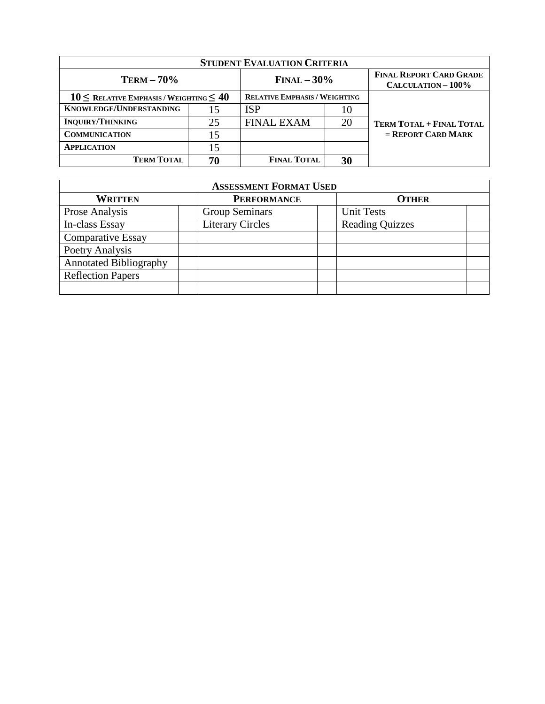| <b>STUDENT EVALUATION CRITERIA</b>                |                |                                      |                                                      |                                 |
|---------------------------------------------------|----------------|--------------------------------------|------------------------------------------------------|---------------------------------|
| $TERM - 70%$                                      | $FINAL - 30\%$ |                                      | <b>FINAL REPORT CARD GRADE</b><br>CALCULATION - 100% |                                 |
| $10 \leq$ RELATIVE EMPHASIS / WEIGHTING $\leq 40$ |                | <b>RELATIVE EMPHASIS / WEIGHTING</b> |                                                      |                                 |
| <b>KNOWLEDGE/UNDERSTANDING</b>                    | 15             | ISP                                  | 10                                                   |                                 |
| <b>INQUIRY/THINKING</b>                           | 25             | <b>FINAL EXAM</b>                    | 20                                                   | <b>TERM TOTAL + FINAL TOTAL</b> |
| <b>COMMUNICATION</b>                              | 15             |                                      |                                                      | $=$ REPORT CARD MARK            |
| <b>APPLICATION</b>                                | 15             |                                      |                                                      |                                 |
| <b>TERM TOTAL</b>                                 | 70             | <b>FINAL TOTAL</b>                   | 30                                                   |                                 |

| <b>ASSESSMENT FORMAT USED</b> |                         |                        |  |  |
|-------------------------------|-------------------------|------------------------|--|--|
| <b>WRITTEN</b>                | <b>PERFORMANCE</b>      | <b>OTHER</b>           |  |  |
| Prose Analysis                | <b>Group Seminars</b>   | <b>Unit Tests</b>      |  |  |
| In-class Essay                | <b>Literary Circles</b> | <b>Reading Quizzes</b> |  |  |
| <b>Comparative Essay</b>      |                         |                        |  |  |
| Poetry Analysis               |                         |                        |  |  |
| <b>Annotated Bibliography</b> |                         |                        |  |  |
| <b>Reflection Papers</b>      |                         |                        |  |  |
|                               |                         |                        |  |  |